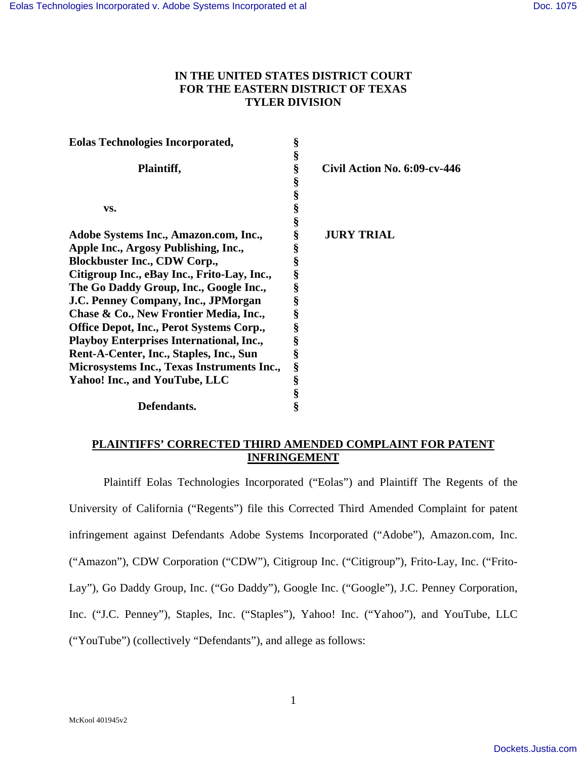# **IN THE UNITED STATES DISTRICT COURT FOR THE EASTERN DISTRICT OF TEXAS TYLER DIVISION**

| <b>Eolas Technologies Incorporated,</b>         | § |                              |
|-------------------------------------------------|---|------------------------------|
|                                                 | § |                              |
| Plaintiff,                                      | § | Civil Action No. 6:09-cv-446 |
|                                                 | § |                              |
|                                                 | § |                              |
| VS.                                             | § |                              |
|                                                 | § |                              |
| Adobe Systems Inc., Amazon.com, Inc.,           | § | <b>JURY TRIAL</b>            |
| Apple Inc., Argosy Publishing, Inc.,            | § |                              |
| <b>Blockbuster Inc., CDW Corp.,</b>             | § |                              |
| Citigroup Inc., eBay Inc., Frito-Lay, Inc.,     | § |                              |
| The Go Daddy Group, Inc., Google Inc.,          | § |                              |
| J.C. Penney Company, Inc., JPMorgan             | § |                              |
| Chase & Co., New Frontier Media, Inc.,          | § |                              |
| <b>Office Depot, Inc., Perot Systems Corp.,</b> | § |                              |
| <b>Playboy Enterprises International, Inc.,</b> | § |                              |
| Rent-A-Center, Inc., Staples, Inc., Sun         | § |                              |
| Microsystems Inc., Texas Instruments Inc.,      | § |                              |
| Yahoo! Inc., and YouTube, LLC                   | § |                              |
|                                                 | § |                              |
| Defendants.                                     | § |                              |

# **PLAINTIFFS' CORRECTED THIRD AMENDED COMPLAINT FOR PATENT INFRINGEMENT**

Plaintiff Eolas Technologies Incorporated ("Eolas") and Plaintiff The Regents of the University of California ("Regents") file this Corrected Third Amended Complaint for patent infringement against Defendants Adobe Systems Incorporated ("Adobe"), Amazon.com, Inc. ("Amazon"), CDW Corporation ("CDW"), Citigroup Inc. ("Citigroup"), Frito-Lay, Inc. ("Frito-Lay"), Go Daddy Group, Inc. ("Go Daddy"), Google Inc. ("Google"), J.C. Penney Corporation, Inc. ("J.C. Penney"), Staples, Inc. ("Staples"), Yahoo! Inc. ("Yahoo"), and YouTube, LLC ("YouTube") (collectively "Defendants"), and allege as follows: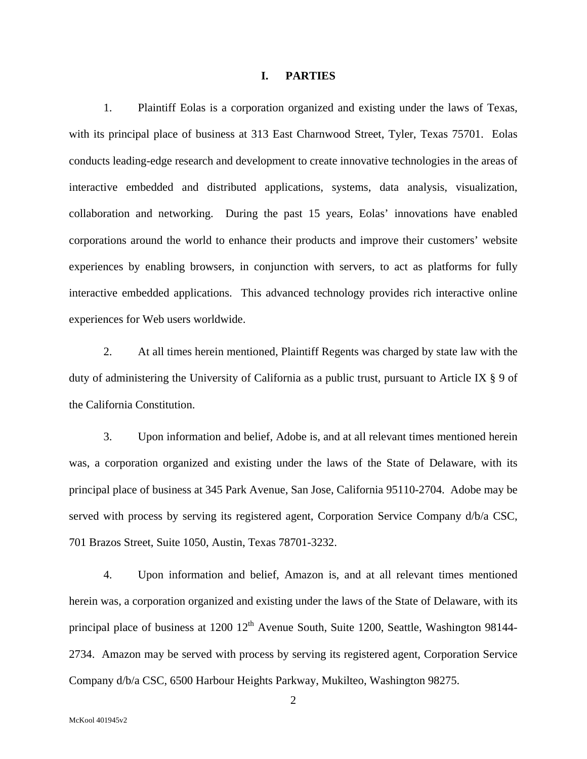#### **I. PARTIES**

1. Plaintiff Eolas is a corporation organized and existing under the laws of Texas, with its principal place of business at 313 East Charnwood Street, Tyler, Texas 75701. Eolas conducts leading-edge research and development to create innovative technologies in the areas of interactive embedded and distributed applications, systems, data analysis, visualization, collaboration and networking. During the past 15 years, Eolas' innovations have enabled corporations around the world to enhance their products and improve their customers' website experiences by enabling browsers, in conjunction with servers, to act as platforms for fully interactive embedded applications. This advanced technology provides rich interactive online experiences for Web users worldwide.

2. At all times herein mentioned, Plaintiff Regents was charged by state law with the duty of administering the University of California as a public trust, pursuant to Article IX § 9 of the California Constitution.

3. Upon information and belief, Adobe is, and at all relevant times mentioned herein was, a corporation organized and existing under the laws of the State of Delaware, with its principal place of business at 345 Park Avenue, San Jose, California 95110-2704. Adobe may be served with process by serving its registered agent, Corporation Service Company d/b/a CSC, 701 Brazos Street, Suite 1050, Austin, Texas 78701-3232.

4. Upon information and belief, Amazon is, and at all relevant times mentioned herein was, a corporation organized and existing under the laws of the State of Delaware, with its principal place of business at 1200 12<sup>th</sup> Avenue South, Suite 1200, Seattle, Washington 98144-2734. Amazon may be served with process by serving its registered agent, Corporation Service Company d/b/a CSC, 6500 Harbour Heights Parkway, Mukilteo, Washington 98275.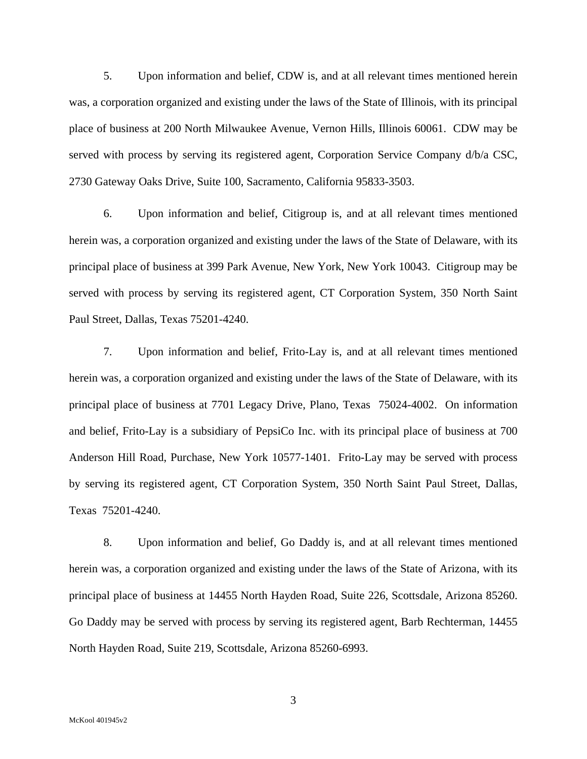5. Upon information and belief, CDW is, and at all relevant times mentioned herein was, a corporation organized and existing under the laws of the State of Illinois, with its principal place of business at 200 North Milwaukee Avenue, Vernon Hills, Illinois 60061. CDW may be served with process by serving its registered agent, Corporation Service Company d/b/a CSC, 2730 Gateway Oaks Drive, Suite 100, Sacramento, California 95833-3503.

6. Upon information and belief, Citigroup is, and at all relevant times mentioned herein was, a corporation organized and existing under the laws of the State of Delaware, with its principal place of business at 399 Park Avenue, New York, New York 10043. Citigroup may be served with process by serving its registered agent, CT Corporation System, 350 North Saint Paul Street, Dallas, Texas 75201-4240.

7. Upon information and belief, Frito-Lay is, and at all relevant times mentioned herein was, a corporation organized and existing under the laws of the State of Delaware, with its principal place of business at 7701 Legacy Drive, Plano, Texas 75024-4002. On information and belief, Frito-Lay is a subsidiary of PepsiCo Inc. with its principal place of business at 700 Anderson Hill Road, Purchase, New York 10577-1401. Frito-Lay may be served with process by serving its registered agent, CT Corporation System, 350 North Saint Paul Street, Dallas, Texas 75201-4240.

8. Upon information and belief, Go Daddy is, and at all relevant times mentioned herein was, a corporation organized and existing under the laws of the State of Arizona, with its principal place of business at 14455 North Hayden Road, Suite 226, Scottsdale, Arizona 85260. Go Daddy may be served with process by serving its registered agent, Barb Rechterman, 14455 North Hayden Road, Suite 219, Scottsdale, Arizona 85260-6993.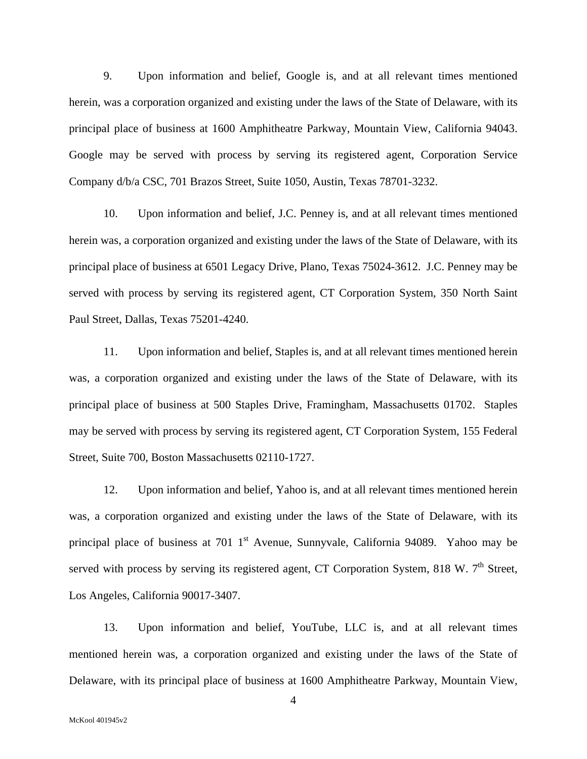9. Upon information and belief, Google is, and at all relevant times mentioned herein, was a corporation organized and existing under the laws of the State of Delaware, with its principal place of business at 1600 Amphitheatre Parkway, Mountain View, California 94043. Google may be served with process by serving its registered agent, Corporation Service Company d/b/a CSC, 701 Brazos Street, Suite 1050, Austin, Texas 78701-3232.

10. Upon information and belief, J.C. Penney is, and at all relevant times mentioned herein was, a corporation organized and existing under the laws of the State of Delaware, with its principal place of business at 6501 Legacy Drive, Plano, Texas 75024-3612. J.C. Penney may be served with process by serving its registered agent, CT Corporation System, 350 North Saint Paul Street, Dallas, Texas 75201-4240.

11. Upon information and belief, Staples is, and at all relevant times mentioned herein was, a corporation organized and existing under the laws of the State of Delaware, with its principal place of business at 500 Staples Drive, Framingham, Massachusetts 01702. Staples may be served with process by serving its registered agent, CT Corporation System, 155 Federal Street, Suite 700, Boston Massachusetts 02110-1727.

12. Upon information and belief, Yahoo is, and at all relevant times mentioned herein was, a corporation organized and existing under the laws of the State of Delaware, with its principal place of business at 701 1<sup>st</sup> Avenue, Sunnyvale, California 94089. Yahoo may be served with process by serving its registered agent, CT Corporation System, 818 W.  $7<sup>th</sup>$  Street, Los Angeles, California 90017-3407.

13. Upon information and belief, YouTube, LLC is, and at all relevant times mentioned herein was, a corporation organized and existing under the laws of the State of Delaware, with its principal place of business at 1600 Amphitheatre Parkway, Mountain View,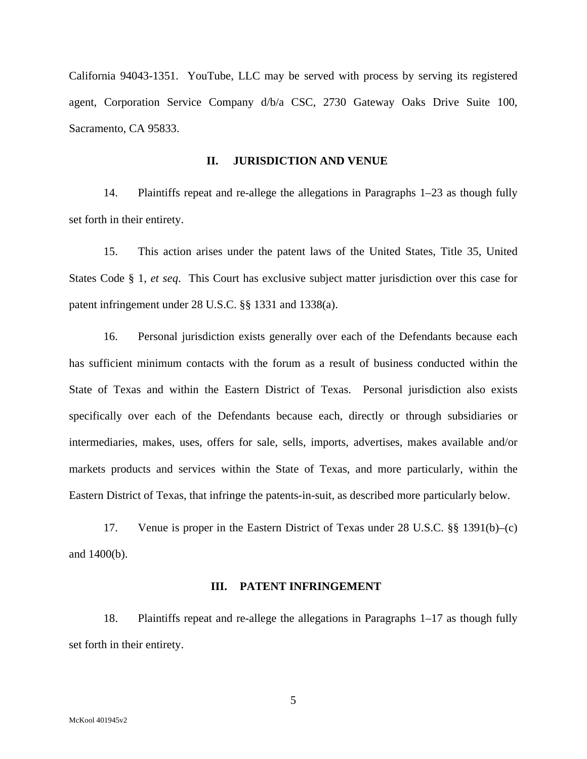California 94043-1351. YouTube, LLC may be served with process by serving its registered agent, Corporation Service Company d/b/a CSC, 2730 Gateway Oaks Drive Suite 100, Sacramento, CA 95833.

#### **II. JURISDICTION AND VENUE**

14. Plaintiffs repeat and re-allege the allegations in Paragraphs 1–23 as though fully set forth in their entirety.

15. This action arises under the patent laws of the United States, Title 35, United States Code § 1, *et seq*. This Court has exclusive subject matter jurisdiction over this case for patent infringement under 28 U.S.C. §§ 1331 and 1338(a).

16. Personal jurisdiction exists generally over each of the Defendants because each has sufficient minimum contacts with the forum as a result of business conducted within the State of Texas and within the Eastern District of Texas. Personal jurisdiction also exists specifically over each of the Defendants because each, directly or through subsidiaries or intermediaries, makes, uses, offers for sale, sells, imports, advertises, makes available and/or markets products and services within the State of Texas, and more particularly, within the Eastern District of Texas, that infringe the patents-in-suit, as described more particularly below.

17. Venue is proper in the Eastern District of Texas under 28 U.S.C. §§ 1391(b)–(c) and 1400(b).

## **III. PATENT INFRINGEMENT**

18. Plaintiffs repeat and re-allege the allegations in Paragraphs 1–17 as though fully set forth in their entirety.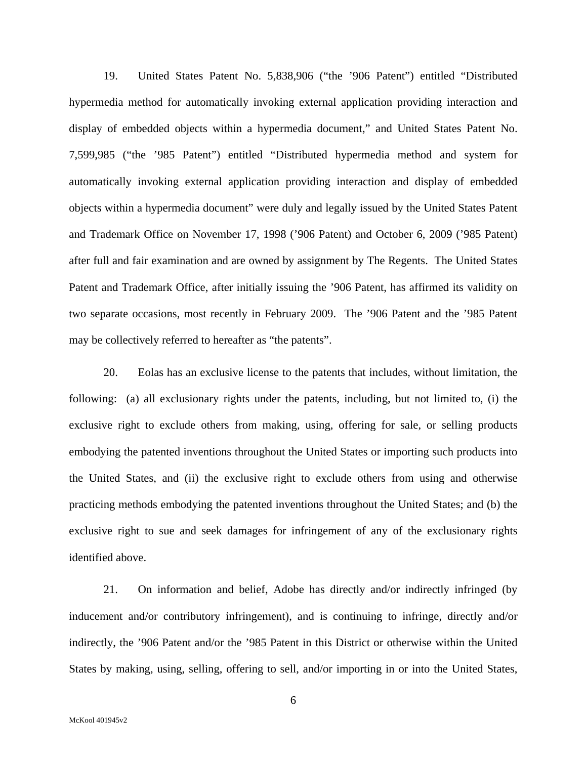19. United States Patent No. 5,838,906 ("the '906 Patent") entitled "Distributed hypermedia method for automatically invoking external application providing interaction and display of embedded objects within a hypermedia document," and United States Patent No. 7,599,985 ("the '985 Patent") entitled "Distributed hypermedia method and system for automatically invoking external application providing interaction and display of embedded objects within a hypermedia document" were duly and legally issued by the United States Patent and Trademark Office on November 17, 1998 ('906 Patent) and October 6, 2009 ('985 Patent) after full and fair examination and are owned by assignment by The Regents. The United States Patent and Trademark Office, after initially issuing the '906 Patent, has affirmed its validity on two separate occasions, most recently in February 2009. The '906 Patent and the '985 Patent may be collectively referred to hereafter as "the patents".

20. Eolas has an exclusive license to the patents that includes, without limitation, the following: (a) all exclusionary rights under the patents, including, but not limited to, (i) the exclusive right to exclude others from making, using, offering for sale, or selling products embodying the patented inventions throughout the United States or importing such products into the United States, and (ii) the exclusive right to exclude others from using and otherwise practicing methods embodying the patented inventions throughout the United States; and (b) the exclusive right to sue and seek damages for infringement of any of the exclusionary rights identified above.

21. On information and belief, Adobe has directly and/or indirectly infringed (by inducement and/or contributory infringement), and is continuing to infringe, directly and/or indirectly, the '906 Patent and/or the '985 Patent in this District or otherwise within the United States by making, using, selling, offering to sell, and/or importing in or into the United States,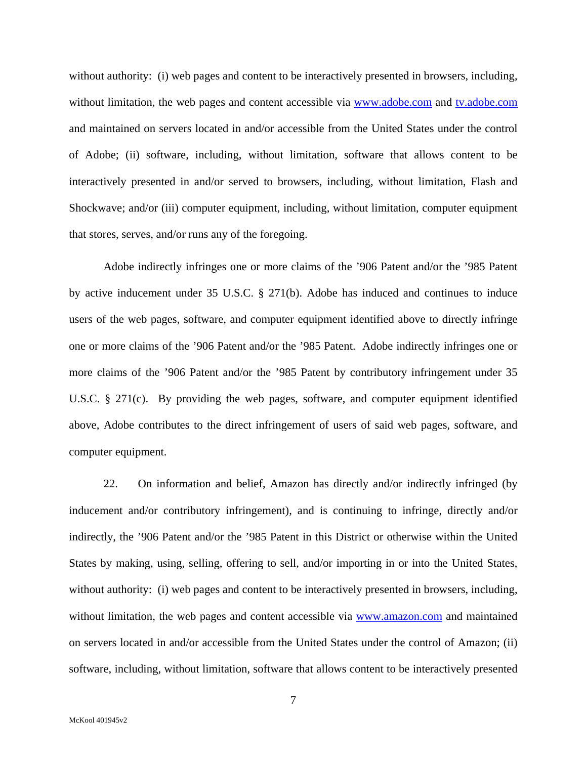without authority: (i) web pages and content to be interactively presented in browsers, including, without limitation, the web pages and content accessible via www.adobe.com and tv.adobe.com and maintained on servers located in and/or accessible from the United States under the control of Adobe; (ii) software, including, without limitation, software that allows content to be interactively presented in and/or served to browsers, including, without limitation, Flash and Shockwave; and/or (iii) computer equipment, including, without limitation, computer equipment that stores, serves, and/or runs any of the foregoing.

 Adobe indirectly infringes one or more claims of the '906 Patent and/or the '985 Patent by active inducement under 35 U.S.C. § 271(b). Adobe has induced and continues to induce users of the web pages, software, and computer equipment identified above to directly infringe one or more claims of the '906 Patent and/or the '985 Patent. Adobe indirectly infringes one or more claims of the '906 Patent and/or the '985 Patent by contributory infringement under 35 U.S.C. § 271(c). By providing the web pages, software, and computer equipment identified above, Adobe contributes to the direct infringement of users of said web pages, software, and computer equipment.

22. On information and belief, Amazon has directly and/or indirectly infringed (by inducement and/or contributory infringement), and is continuing to infringe, directly and/or indirectly, the '906 Patent and/or the '985 Patent in this District or otherwise within the United States by making, using, selling, offering to sell, and/or importing in or into the United States, without authority: (i) web pages and content to be interactively presented in browsers, including, without limitation, the web pages and content accessible via www.amazon.com and maintained on servers located in and/or accessible from the United States under the control of Amazon; (ii) software, including, without limitation, software that allows content to be interactively presented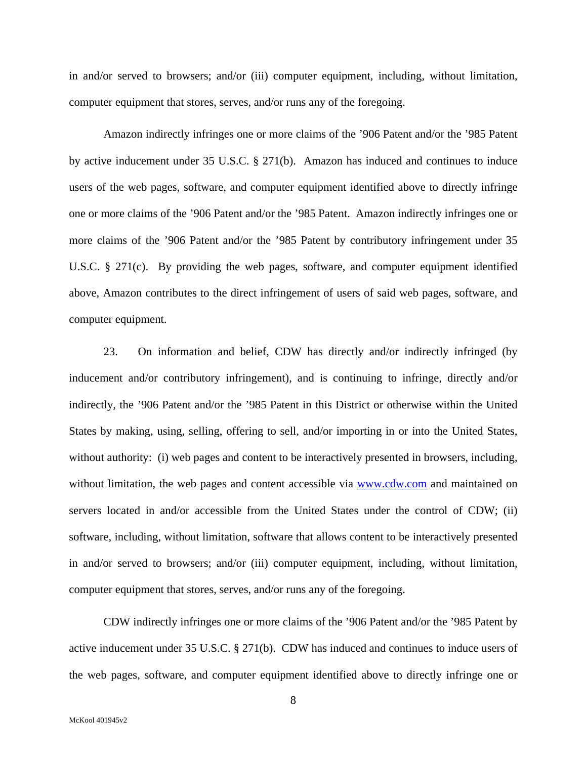in and/or served to browsers; and/or (iii) computer equipment, including, without limitation, computer equipment that stores, serves, and/or runs any of the foregoing.

 Amazon indirectly infringes one or more claims of the '906 Patent and/or the '985 Patent by active inducement under 35 U.S.C. § 271(b). Amazon has induced and continues to induce users of the web pages, software, and computer equipment identified above to directly infringe one or more claims of the '906 Patent and/or the '985 Patent. Amazon indirectly infringes one or more claims of the '906 Patent and/or the '985 Patent by contributory infringement under 35 U.S.C. § 271(c). By providing the web pages, software, and computer equipment identified above, Amazon contributes to the direct infringement of users of said web pages, software, and computer equipment.

23. On information and belief, CDW has directly and/or indirectly infringed (by inducement and/or contributory infringement), and is continuing to infringe, directly and/or indirectly, the '906 Patent and/or the '985 Patent in this District or otherwise within the United States by making, using, selling, offering to sell, and/or importing in or into the United States, without authority: (i) web pages and content to be interactively presented in browsers, including, without limitation, the web pages and content accessible via www.cdw.com and maintained on servers located in and/or accessible from the United States under the control of CDW; (ii) software, including, without limitation, software that allows content to be interactively presented in and/or served to browsers; and/or (iii) computer equipment, including, without limitation, computer equipment that stores, serves, and/or runs any of the foregoing.

 CDW indirectly infringes one or more claims of the '906 Patent and/or the '985 Patent by active inducement under 35 U.S.C. § 271(b). CDW has induced and continues to induce users of the web pages, software, and computer equipment identified above to directly infringe one or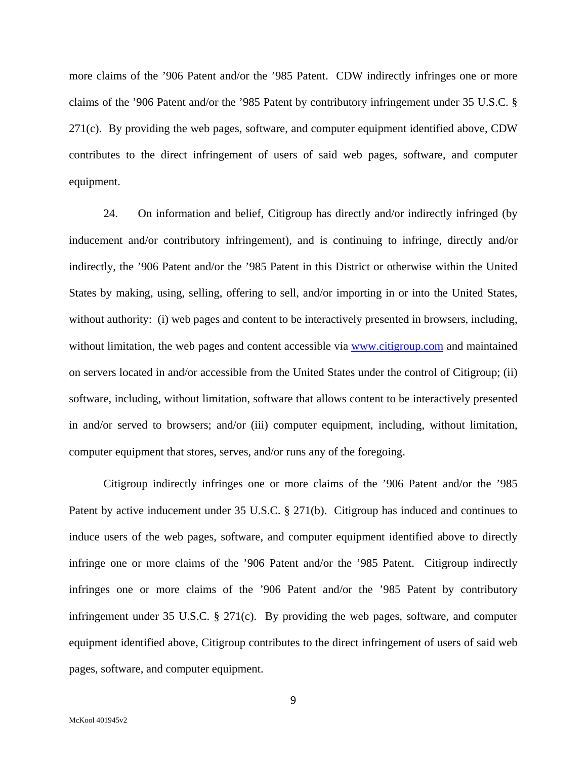more claims of the '906 Patent and/or the '985 Patent. CDW indirectly infringes one or more claims of the '906 Patent and/or the '985 Patent by contributory infringement under 35 U.S.C. § 271(c). By providing the web pages, software, and computer equipment identified above, CDW contributes to the direct infringement of users of said web pages, software, and computer equipment.

24. On information and belief, Citigroup has directly and/or indirectly infringed (by inducement and/or contributory infringement), and is continuing to infringe, directly and/or indirectly, the '906 Patent and/or the '985 Patent in this District or otherwise within the United States by making, using, selling, offering to sell, and/or importing in or into the United States, without authority: (i) web pages and content to be interactively presented in browsers, including, without limitation, the web pages and content accessible via www.citigroup.com and maintained on servers located in and/or accessible from the United States under the control of Citigroup; (ii) software, including, without limitation, software that allows content to be interactively presented in and/or served to browsers; and/or (iii) computer equipment, including, without limitation, computer equipment that stores, serves, and/or runs any of the foregoing.

 Citigroup indirectly infringes one or more claims of the '906 Patent and/or the '985 Patent by active inducement under 35 U.S.C. § 271(b). Citigroup has induced and continues to induce users of the web pages, software, and computer equipment identified above to directly infringe one or more claims of the '906 Patent and/or the '985 Patent. Citigroup indirectly infringes one or more claims of the '906 Patent and/or the '985 Patent by contributory infringement under 35 U.S.C. § 271(c). By providing the web pages, software, and computer equipment identified above, Citigroup contributes to the direct infringement of users of said web pages, software, and computer equipment.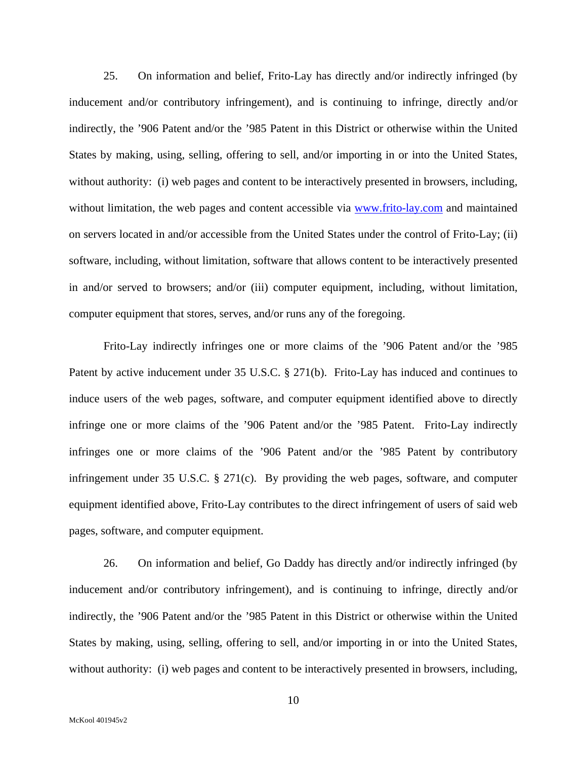25. On information and belief, Frito-Lay has directly and/or indirectly infringed (by inducement and/or contributory infringement), and is continuing to infringe, directly and/or indirectly, the '906 Patent and/or the '985 Patent in this District or otherwise within the United States by making, using, selling, offering to sell, and/or importing in or into the United States, without authority: (i) web pages and content to be interactively presented in browsers, including, without limitation, the web pages and content accessible via www.frito-lay.com and maintained on servers located in and/or accessible from the United States under the control of Frito-Lay; (ii) software, including, without limitation, software that allows content to be interactively presented in and/or served to browsers; and/or (iii) computer equipment, including, without limitation, computer equipment that stores, serves, and/or runs any of the foregoing.

 Frito-Lay indirectly infringes one or more claims of the '906 Patent and/or the '985 Patent by active inducement under 35 U.S.C. § 271(b). Frito-Lay has induced and continues to induce users of the web pages, software, and computer equipment identified above to directly infringe one or more claims of the '906 Patent and/or the '985 Patent. Frito-Lay indirectly infringes one or more claims of the '906 Patent and/or the '985 Patent by contributory infringement under 35 U.S.C. § 271(c). By providing the web pages, software, and computer equipment identified above, Frito-Lay contributes to the direct infringement of users of said web pages, software, and computer equipment.

26. On information and belief, Go Daddy has directly and/or indirectly infringed (by inducement and/or contributory infringement), and is continuing to infringe, directly and/or indirectly, the '906 Patent and/or the '985 Patent in this District or otherwise within the United States by making, using, selling, offering to sell, and/or importing in or into the United States, without authority: (i) web pages and content to be interactively presented in browsers, including,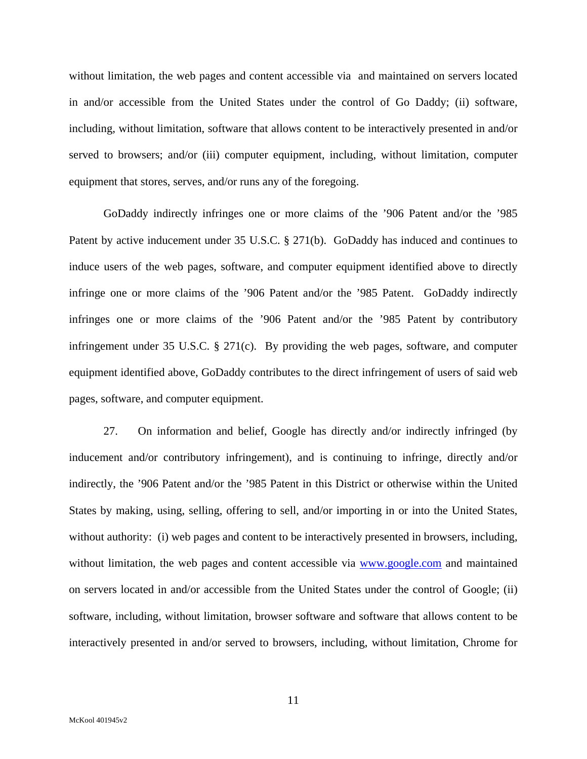without limitation, the web pages and content accessible via and maintained on servers located in and/or accessible from the United States under the control of Go Daddy; (ii) software, including, without limitation, software that allows content to be interactively presented in and/or served to browsers; and/or (iii) computer equipment, including, without limitation, computer equipment that stores, serves, and/or runs any of the foregoing.

 GoDaddy indirectly infringes one or more claims of the '906 Patent and/or the '985 Patent by active inducement under 35 U.S.C. § 271(b). GoDaddy has induced and continues to induce users of the web pages, software, and computer equipment identified above to directly infringe one or more claims of the '906 Patent and/or the '985 Patent. GoDaddy indirectly infringes one or more claims of the '906 Patent and/or the '985 Patent by contributory infringement under 35 U.S.C.  $\S$  271(c). By providing the web pages, software, and computer equipment identified above, GoDaddy contributes to the direct infringement of users of said web pages, software, and computer equipment.

27. On information and belief, Google has directly and/or indirectly infringed (by inducement and/or contributory infringement), and is continuing to infringe, directly and/or indirectly, the '906 Patent and/or the '985 Patent in this District or otherwise within the United States by making, using, selling, offering to sell, and/or importing in or into the United States, without authority: (i) web pages and content to be interactively presented in browsers, including, without limitation, the web pages and content accessible via www.google.com and maintained on servers located in and/or accessible from the United States under the control of Google; (ii) software, including, without limitation, browser software and software that allows content to be interactively presented in and/or served to browsers, including, without limitation, Chrome for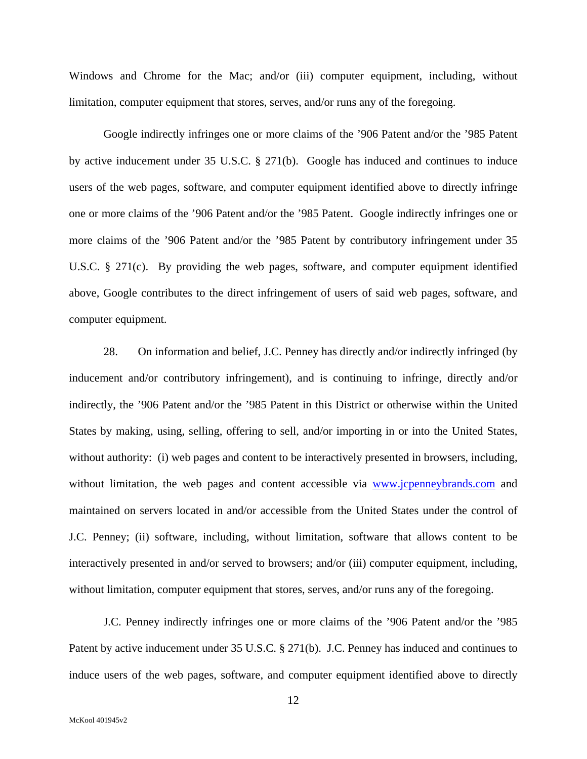Windows and Chrome for the Mac; and/or (iii) computer equipment, including, without limitation, computer equipment that stores, serves, and/or runs any of the foregoing.

 Google indirectly infringes one or more claims of the '906 Patent and/or the '985 Patent by active inducement under 35 U.S.C. § 271(b). Google has induced and continues to induce users of the web pages, software, and computer equipment identified above to directly infringe one or more claims of the '906 Patent and/or the '985 Patent. Google indirectly infringes one or more claims of the '906 Patent and/or the '985 Patent by contributory infringement under 35 U.S.C. § 271(c). By providing the web pages, software, and computer equipment identified above, Google contributes to the direct infringement of users of said web pages, software, and computer equipment.

28. On information and belief, J.C. Penney has directly and/or indirectly infringed (by inducement and/or contributory infringement), and is continuing to infringe, directly and/or indirectly, the '906 Patent and/or the '985 Patent in this District or otherwise within the United States by making, using, selling, offering to sell, and/or importing in or into the United States, without authority: (i) web pages and content to be interactively presented in browsers, including, without limitation, the web pages and content accessible via www.jcpenneybrands.com and maintained on servers located in and/or accessible from the United States under the control of J.C. Penney; (ii) software, including, without limitation, software that allows content to be interactively presented in and/or served to browsers; and/or (iii) computer equipment, including, without limitation, computer equipment that stores, serves, and/or runs any of the foregoing.

 J.C. Penney indirectly infringes one or more claims of the '906 Patent and/or the '985 Patent by active inducement under 35 U.S.C. § 271(b). J.C. Penney has induced and continues to induce users of the web pages, software, and computer equipment identified above to directly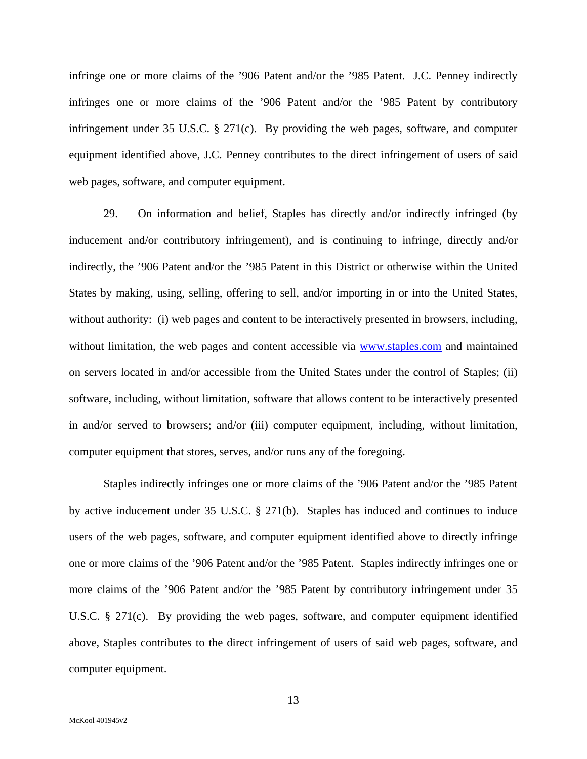infringe one or more claims of the '906 Patent and/or the '985 Patent. J.C. Penney indirectly infringes one or more claims of the '906 Patent and/or the '985 Patent by contributory infringement under 35 U.S.C.  $\S$  271(c). By providing the web pages, software, and computer equipment identified above, J.C. Penney contributes to the direct infringement of users of said web pages, software, and computer equipment.

29. On information and belief, Staples has directly and/or indirectly infringed (by inducement and/or contributory infringement), and is continuing to infringe, directly and/or indirectly, the '906 Patent and/or the '985 Patent in this District or otherwise within the United States by making, using, selling, offering to sell, and/or importing in or into the United States, without authority: (i) web pages and content to be interactively presented in browsers, including, without limitation, the web pages and content accessible via www.staples.com and maintained on servers located in and/or accessible from the United States under the control of Staples; (ii) software, including, without limitation, software that allows content to be interactively presented in and/or served to browsers; and/or (iii) computer equipment, including, without limitation, computer equipment that stores, serves, and/or runs any of the foregoing.

 Staples indirectly infringes one or more claims of the '906 Patent and/or the '985 Patent by active inducement under 35 U.S.C. § 271(b). Staples has induced and continues to induce users of the web pages, software, and computer equipment identified above to directly infringe one or more claims of the '906 Patent and/or the '985 Patent. Staples indirectly infringes one or more claims of the '906 Patent and/or the '985 Patent by contributory infringement under 35 U.S.C. § 271(c). By providing the web pages, software, and computer equipment identified above, Staples contributes to the direct infringement of users of said web pages, software, and computer equipment.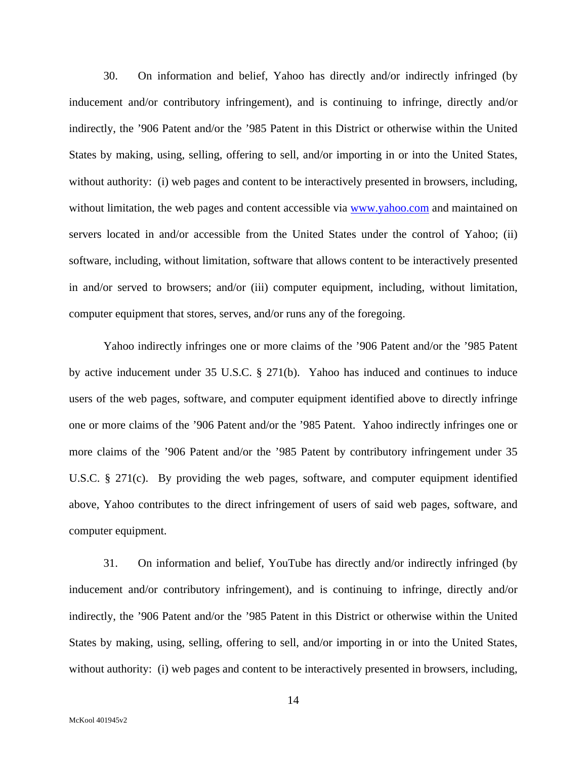30. On information and belief, Yahoo has directly and/or indirectly infringed (by inducement and/or contributory infringement), and is continuing to infringe, directly and/or indirectly, the '906 Patent and/or the '985 Patent in this District or otherwise within the United States by making, using, selling, offering to sell, and/or importing in or into the United States, without authority: (i) web pages and content to be interactively presented in browsers, including, without limitation, the web pages and content accessible via www.yahoo.com and maintained on servers located in and/or accessible from the United States under the control of Yahoo; (ii) software, including, without limitation, software that allows content to be interactively presented in and/or served to browsers; and/or (iii) computer equipment, including, without limitation, computer equipment that stores, serves, and/or runs any of the foregoing.

 Yahoo indirectly infringes one or more claims of the '906 Patent and/or the '985 Patent by active inducement under 35 U.S.C. § 271(b). Yahoo has induced and continues to induce users of the web pages, software, and computer equipment identified above to directly infringe one or more claims of the '906 Patent and/or the '985 Patent. Yahoo indirectly infringes one or more claims of the '906 Patent and/or the '985 Patent by contributory infringement under 35 U.S.C. § 271(c). By providing the web pages, software, and computer equipment identified above, Yahoo contributes to the direct infringement of users of said web pages, software, and computer equipment.

31. On information and belief, YouTube has directly and/or indirectly infringed (by inducement and/or contributory infringement), and is continuing to infringe, directly and/or indirectly, the '906 Patent and/or the '985 Patent in this District or otherwise within the United States by making, using, selling, offering to sell, and/or importing in or into the United States, without authority: (i) web pages and content to be interactively presented in browsers, including,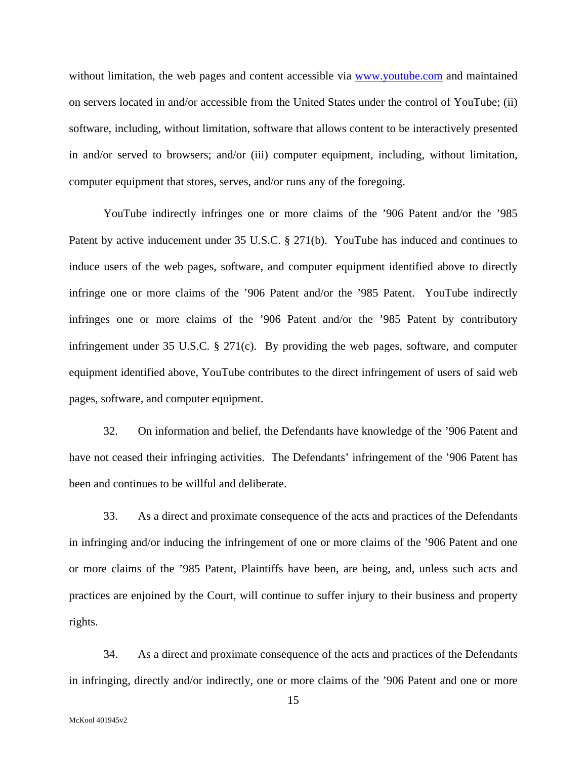without limitation, the web pages and content accessible via www.youtube.com and maintained on servers located in and/or accessible from the United States under the control of YouTube; (ii) software, including, without limitation, software that allows content to be interactively presented in and/or served to browsers; and/or (iii) computer equipment, including, without limitation, computer equipment that stores, serves, and/or runs any of the foregoing.

 YouTube indirectly infringes one or more claims of the '906 Patent and/or the '985 Patent by active inducement under 35 U.S.C. § 271(b). YouTube has induced and continues to induce users of the web pages, software, and computer equipment identified above to directly infringe one or more claims of the '906 Patent and/or the '985 Patent. YouTube indirectly infringes one or more claims of the '906 Patent and/or the '985 Patent by contributory infringement under 35 U.S.C.  $\S$  271(c). By providing the web pages, software, and computer equipment identified above, YouTube contributes to the direct infringement of users of said web pages, software, and computer equipment.

32. On information and belief, the Defendants have knowledge of the '906 Patent and have not ceased their infringing activities. The Defendants' infringement of the '906 Patent has been and continues to be willful and deliberate.

33. As a direct and proximate consequence of the acts and practices of the Defendants in infringing and/or inducing the infringement of one or more claims of the '906 Patent and one or more claims of the '985 Patent, Plaintiffs have been, are being, and, unless such acts and practices are enjoined by the Court, will continue to suffer injury to their business and property rights.

34. As a direct and proximate consequence of the acts and practices of the Defendants in infringing, directly and/or indirectly, one or more claims of the '906 Patent and one or more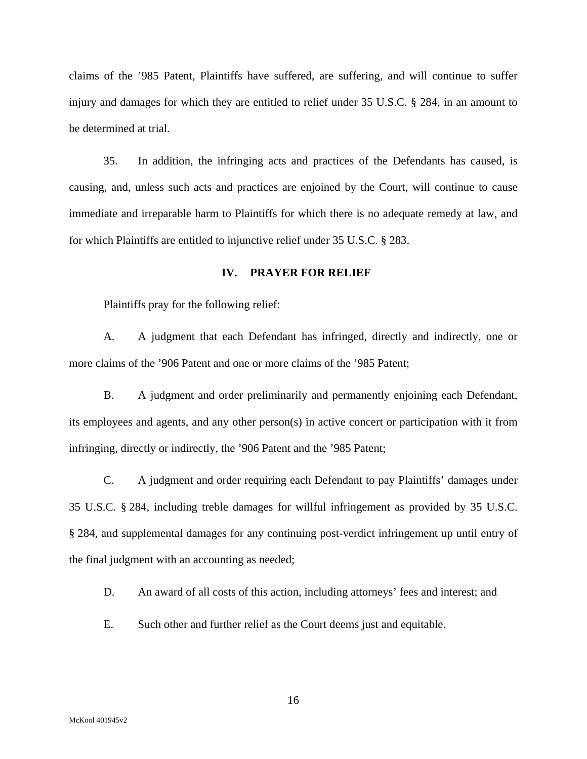claims of the '985 Patent, Plaintiffs have suffered, are suffering, and will continue to suffer injury and damages for which they are entitled to relief under 35 U.S.C. § 284, in an amount to be determined at trial.

35. In addition, the infringing acts and practices of the Defendants has caused, is causing, and, unless such acts and practices are enjoined by the Court, will continue to cause immediate and irreparable harm to Plaintiffs for which there is no adequate remedy at law, and for which Plaintiffs are entitled to injunctive relief under 35 U.S.C. § 283.

#### **IV. PRAYER FOR RELIEF**

Plaintiffs pray for the following relief:

A. A judgment that each Defendant has infringed, directly and indirectly, one or more claims of the '906 Patent and one or more claims of the '985 Patent;

B. A judgment and order preliminarily and permanently enjoining each Defendant, its employees and agents, and any other person(s) in active concert or participation with it from infringing, directly or indirectly, the '906 Patent and the '985 Patent;

C. A judgment and order requiring each Defendant to pay Plaintiffs' damages under 35 U.S.C. § 284, including treble damages for willful infringement as provided by 35 U.S.C. § 284, and supplemental damages for any continuing post-verdict infringement up until entry of the final judgment with an accounting as needed;

D. An award of all costs of this action, including attorneys' fees and interest; and

E. Such other and further relief as the Court deems just and equitable.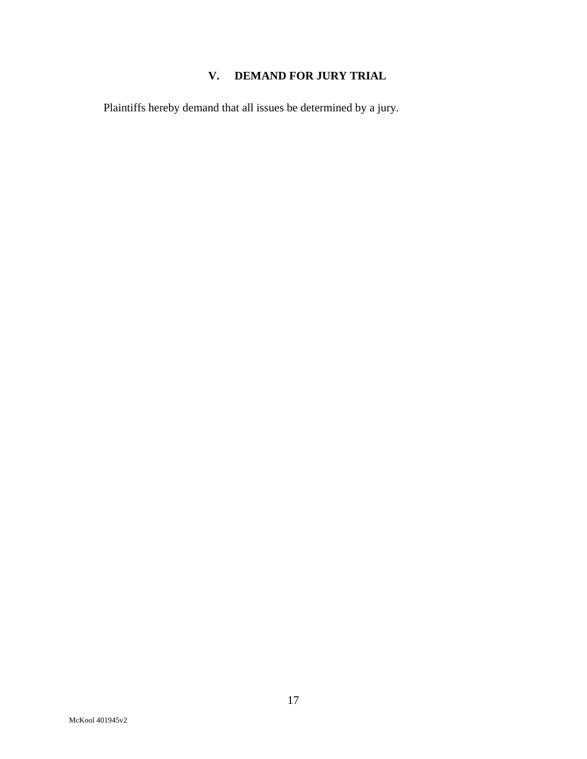# **V. DEMAND FOR JURY TRIAL**

Plaintiffs hereby demand that all issues be determined by a jury.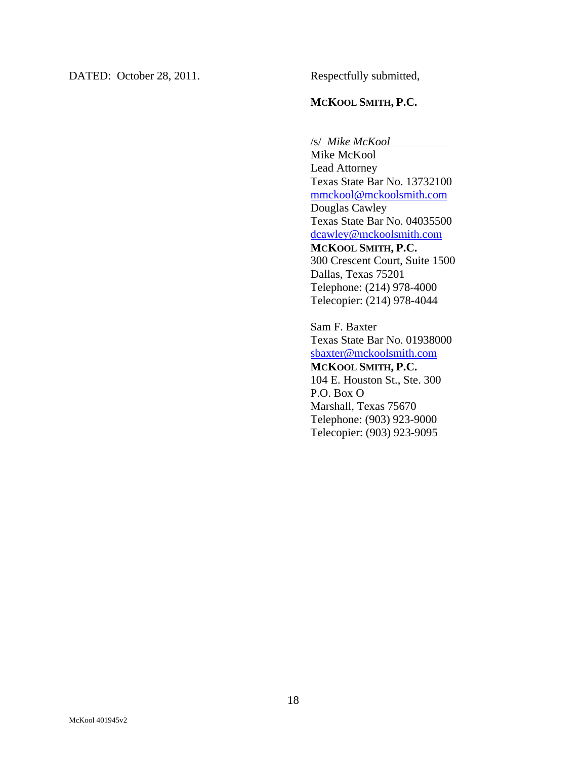DATED: October 28, 2011. Respectfully submitted,

#### **MCKOOL SMITH, P.C.**

/s/ *Mike McKool* Mike McKool Lead Attorney Texas State Bar No. 13732100 mmckool@mckoolsmith.com Douglas Cawley Texas State Bar No. 04035500 dcawley@mckoolsmith.com **MCKOOL SMITH, P.C.**  300 Crescent Court, Suite 1500 Dallas, Texas 75201 Telephone: (214) 978-4000 Telecopier: (214) 978-4044

Sam F. Baxter Texas State Bar No. 01938000 sbaxter@mckoolsmith.com **MCKOOL SMITH, P.C.**  104 E. Houston St., Ste. 300 P.O. Box O Marshall, Texas 75670 Telephone: (903) 923-9000 Telecopier: (903) 923-9095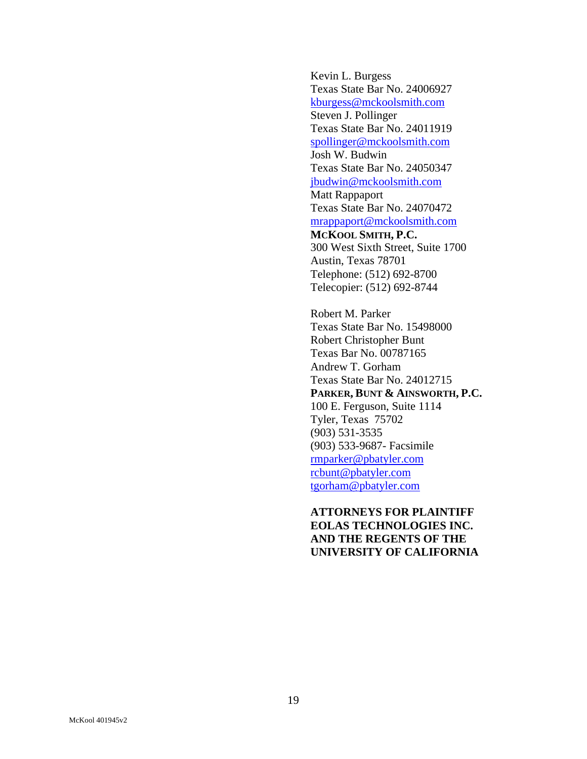Kevin L. Burgess Texas State Bar No. 24006927 kburgess@mckoolsmith.com Steven J. Pollinger Texas State Bar No. 24011919 spollinger@mckoolsmith.com Josh W. Budwin Texas State Bar No. 24050347 jbudwin@mckoolsmith.com Matt Rappaport Texas State Bar No. 24070472 mrappaport@mckoolsmith.com **MCKOOL SMITH, P.C.**  300 West Sixth Street, Suite 1700 Austin, Texas 78701 Telephone: (512) 692-8700 Telecopier: (512) 692-8744

Robert M. Parker Texas State Bar No. 15498000 Robert Christopher Bunt Texas Bar No. 00787165 Andrew T. Gorham Texas State Bar No. 24012715 **PARKER, BUNT & AINSWORTH, P.C.**  100 E. Ferguson, Suite 1114 Tyler, Texas 75702 (903) 531-3535 (903) 533-9687- Facsimile rmparker@pbatyler.com rcbunt@pbatyler.com tgorham@pbatyler.com

**ATTORNEYS FOR PLAINTIFF EOLAS TECHNOLOGIES INC. AND THE REGENTS OF THE UNIVERSITY OF CALIFORNIA**